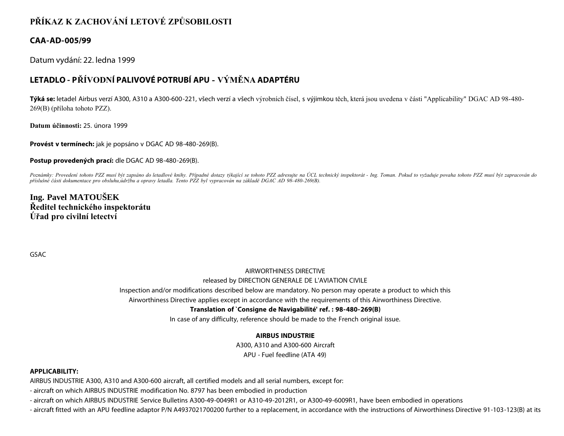# **PŘÍKAZ K ZACHOVÁNÍ LETOVÉ ZPŮSOBILOSTI**

### **CAA-AD-005/99**

Datum vydání: 22. ledna 1999

## **LETADLO - PŘÍVODNÍ PALIVOVÉ POTRUBÍ APU - VÝMĚNA ADAPTÉRU**

**Týká se:** letadel Airbus verzí A300, A310 a A300-600-221, všech verzí a všech výrobních čísel, s výjimkou těch, která jsou uvedena v části "Applicability" DGAC AD 98-480- 269(B) (příloha tohoto PZZ).

**Datum účinnosti:** 25. února 1999

**Provést v termínech:** jak je popsáno v DGAC AD 98-480-269(B).

**Postup provedených prací:** dle DGAC AD 98-480-269(B).

Poznámky: Provedení tohoto PZZ musí být zapsáno do letadlové knihy. Případné dotazy týkající se tohoto PZZ adresujte na ÚCL technický inspektorát - Ing. Toman. Pokud to vyžaduje povaha tohoto PZZ musí být zapracován do *příslušné části dokumentace pro obsluhu,údržbu a opravy letadla. Tento PZZ byl vypracován na základě DGAC AD 98-480-269(B).*

**Ing. Pavel MATOUŠEK Ředitel technického inspektorátu Úřad pro civilní letectví**

GSAC

#### AIRWORTHINESS DIRECTIVE

#### released by DIRECTION GENERALE DE L'AVIATION CIVILE

Inspection and/or modifications described below are mandatory. No person may operate a product to which this

Airworthiness Directive applies except in accordance with the requirements of this Airworthiness Directive.

#### **Translation of `Consigne de Navigabilité' ref. : 98-480-269(B)**

In case of any difficulty, reference should be made to the French original issue.

#### **AIRBUS INDUSTRIE**

A300, A310 and A300-600 Aircraft APU - Fuel feedline (ATA 49)

#### **APPLICABILITY:**

AIRBUS INDUSTRIE A300, A310 and A300-600 aircraft, all certified models and all serial numbers, except for:

- aircraft on which AIRBUS INDUSTRIE modification No. 8797 has been embodied in production

- aircraft on which AIRBUS INDUSTRIE Service Bulletins A300-49-0049R1 or A310-49-2012R1, or A300-49-6009R1, have been embodied in operations

- aircraft fitted with an APU feedline adaptor P/N A4937021700200 further to a replacement, in accordance with the instructions of Airworthiness Directive 91-103-123(B) at its